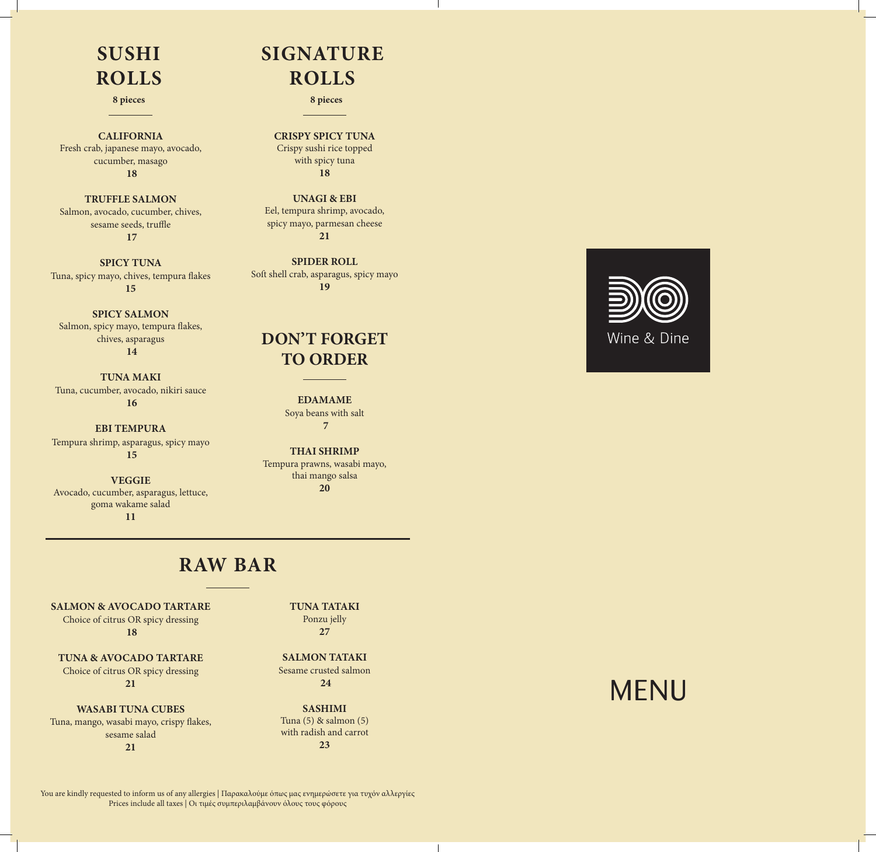## **SUSHI ROLLS**

**CALIFORNIA** Fresh crab, japanese mayo, avocado, cucumber, masago  **18**

**TRUFFLE SALMON** Salmon, avocado, cucumber, chives, sesame seeds, truffle  **17**

**SPICY TUNA** Tuna, spicy mayo, chives, tempura flakes **15**

**SPICY SALMON** Salmon, spicy mayo, tempura flakes, chives, asparagus  **14**

**TUNA MAKI** Tuna, cucumber, avocado, nikiri sauce  **16**

**EBI TEMPURA** Tempura shrimp, asparagus, spicy mayo  **15**

**VEGGIE** Avocado, cucumber, asparagus, lettuce, goma wakame salad **11**

# **SIGNATURE ROLLS**

**8 pieces 8 pieces**

**CRISPY SPICY TUNA** Crispy sushi rice topped with spicy tuna **18**

**UNAGI & EBI**  Eel, tempura shrimp, avocado, spicy mayo, parmesan cheese **21** 

**SPIDER ROLL** Soft shell crab, asparagus, spicy mayo **19**

#### **DON'T FORGET TO ORDER**

**EDAMAME** Soya beans with salt  **7**

**THAI SHRIMP** Tempura prawns, wasabi mayo, thai mango salsa **20**

### **RAW BAR**

**SALMON & AVOCADO TARTARE** Choice of citrus OR spicy dressing  **18**

**TUNA & AVOCADO TARTARE** Choice of citrus OR spicy dressing **21**

**WASABI TUNA CUBES** Tuna, mango, wasabi mayo, crispy flakes, sesame salad **21**

**TUNA TATAKI** Ponzu jelly **27**

**SALMON TATAKI** Sesame crusted salmon  **24**

**SASHIMI** Tuna (5) & salmon (5) with radish and carrot **23**



You are kindly requested to inform us of any allergies | Παρακαλούμε όπως μας ενημερώσετε για τυχόν αλλεργίες Prices include all taxes | Οι τιμές συμπεριλαμβάνουν όλους τους φόρους